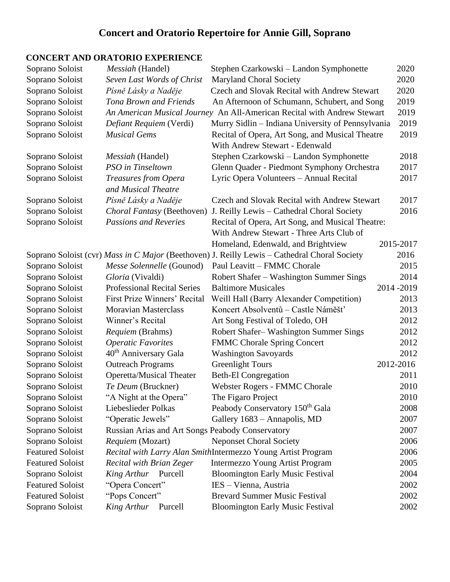# **Concert and Oratorio Repertoire for Annie Gill, Soprano**

# **CONCERT AND ORATORIO EXPERIENCE**

| Soprano Soloist         | Messiah (Handel)                                 | Stephen Czarkowski – Landon Symphonette                                                      | 2020      |
|-------------------------|--------------------------------------------------|----------------------------------------------------------------------------------------------|-----------|
| Soprano Soloist         | Seven Last Words of Christ                       | <b>Maryland Choral Society</b>                                                               | 2020      |
| Soprano Soloist         | Písně Lásky a Naděje                             | Czech and Slovak Recital with Andrew Stewart                                                 | 2020      |
| Soprano Soloist         | Tona Brown and Friends                           | An Afternoon of Schumann, Schubert, and Song                                                 | 2019      |
| Soprano Soloist         |                                                  | An American Musical Journey An All-American Recital with Andrew Stewart                      | 2019      |
| Soprano Soloist         | Defiant Requiem (Verdi)                          | Murry Sidlin - Indiana University of Pennsylvania                                            | 2019      |
| Soprano Soloist         | <b>Musical Gems</b>                              | Recital of Opera, Art Song, and Musical Theatre                                              | 2019      |
|                         |                                                  | With Andrew Stewart - Edenwald                                                               |           |
| Soprano Soloist         | <i>Messiah</i> (Handel)                          | Stephen Czarkowski – Landon Symphonette                                                      | 2018      |
| Soprano Soloist         | PSO in Tinseltown                                | Glenn Quader - Piedmont Symphony Orchestra                                                   | 2017      |
| Soprano Soloist         | Treasures from Opera<br>and Musical Theatre      | Lyric Opera Volunteers - Annual Recital                                                      | 2017      |
| Soprano Soloist         | Písně Lásky a Naděje                             | Czech and Slovak Recital with Andrew Stewart                                                 | 2017      |
| Soprano Soloist         | Choral Fantasy (Beethoven)                       | J. Reilly Lewis - Cathedral Choral Society                                                   | 2016      |
| Soprano Soloist         | <b>Passions and Reveries</b>                     | Recital of Opera, Art Song, and Musical Theatre:                                             |           |
|                         |                                                  | With Andrew Stewart - Three Arts Club of                                                     |           |
|                         |                                                  | Homeland, Edenwald, and Brightview                                                           | 2015-2017 |
|                         |                                                  | Soprano Soloist (cvr) Mass in C Major (Beethoven) J. Reilly Lewis - Cathedral Choral Society | 2016      |
| Soprano Soloist         | Messe Solennelle (Gounod)                        | Paul Leavitt – FMMC Chorale                                                                  | 2015      |
| Soprano Soloist         | Gloria (Vivaldi)                                 | Robert Shafer – Washington Summer Sings                                                      | 2014      |
| Soprano Soloist         | <b>Professional Recital Series</b>               | <b>Baltimore Musicales</b>                                                                   | 2014-2019 |
| Soprano Soloist         | First Prize Winners' Recital                     | Weill Hall (Barry Alexander Competition)                                                     | 2013      |
| Soprano Soloist         | <b>Moravian Masterclass</b>                      | Koncert Absolventů – Castle Náměšt'                                                          | 2013      |
| Soprano Soloist         | Winner's Recital                                 | Art Song Festival of Toledo, OH                                                              | 2012      |
| Soprano Soloist         | Requiem (Brahms)                                 | Robert Shafer-Washington Summer Sings                                                        | 2012      |
| Soprano Soloist         | <b>Operatic Favorites</b>                        | <b>FMMC Chorale Spring Concert</b>                                                           | 2012      |
| Soprano Soloist         | 40 <sup>th</sup> Anniversary Gala                | <b>Washington Savoyards</b>                                                                  | 2012      |
| Soprano Soloist         | <b>Outreach Programs</b>                         | <b>Greenlight Tours</b>                                                                      | 2012-2016 |
| Soprano Soloist         | <b>Operetta/Musical Theater</b>                  | <b>Beth-El Congregation</b>                                                                  | 2011      |
| Soprano Soloist         | Te Deum (Bruckner)                               | Webster Rogers - FMMC Chorale                                                                | 2010      |
| Soprano Soloist         | "A Night at the Opera"                           | The Figaro Project                                                                           | 2010      |
| Soprano Soloist         | Liebeslieder Polkas                              | Peabody Conservatory 150 <sup>th</sup> Gala                                                  | 2008      |
| Soprano Soloist         | "Operatic Jewels"                                | Gallery 1683 - Annapolis, MD                                                                 | 2007      |
| Soprano Soloist         | Russian Arias and Art Songs Peabody Conservatory |                                                                                              | 2007      |
| Soprano Soloist         | Requiem (Mozart)                                 | <b>Neponset Choral Society</b>                                                               | 2006      |
| <b>Featured Soloist</b> |                                                  | Recital with Larry Alan SmithIntermezzo Young Artist Program                                 | 2006      |
| <b>Featured Soloist</b> | <b>Recital with Brian Zeger</b>                  | <b>Intermezzo Young Artist Program</b>                                                       | 2005      |
| Soprano Soloist         | King Arthur Purcell                              | <b>Bloomington Early Music Festival</b>                                                      | 2004      |
| <b>Featured Soloist</b> | "Opera Concert"                                  | IES - Vienna, Austria                                                                        | 2002      |
| <b>Featured Soloist</b> | "Pops Concert"                                   | <b>Brevard Summer Music Festival</b>                                                         | 2002      |
| Soprano Soloist         | King Arthur<br>Purcell                           | <b>Bloomington Early Music Festival</b>                                                      | 2002      |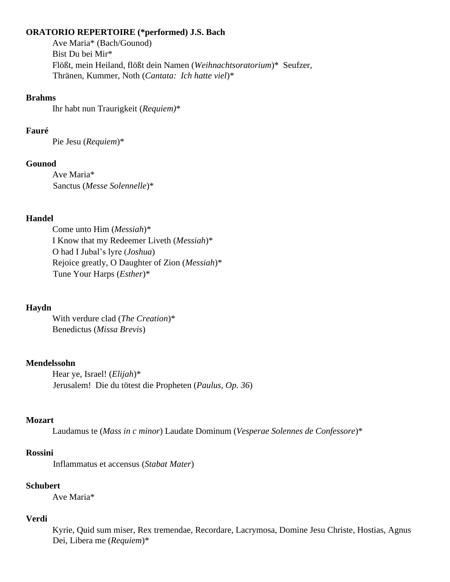#### **ORATORIO REPERTOIRE (\*performed) J.S. Bach**

Ave Maria\* (Bach/Gounod) Bist Du bei Mir\* Flößt, mein Heiland, flößt dein Namen (*Weihnachtsoratorium*)\* Seufzer, Thränen, Kummer, Noth (*Cantata: Ich hatte viel*)\*

#### **Brahms**

Ihr habt nun Traurigkeit (*Requiem)*\*

#### **Fauré**

Pie Jesu (*Requiem*)\*

#### **Gounod**

Ave Maria\* Sanctus (*Messe Solennelle*)\*

#### **Handel**

Come unto Him (*Messiah*)\* I Know that my Redeemer Liveth (*Messiah*)\* O had I Jubal's lyre (*Joshua*) Rejoice greatly, O Daughter of Zion (*Messiah*)\* Tune Your Harps (*Esther*)\*

#### **Haydn**

With verdure clad (*The Creation*)\* Benedictus (*Missa Brevis*)

#### **Mendelssohn**

Hear ye, Israel! (*Elijah*)\* Jerusalem! Die du tötest die Propheten (*Paulus, Op. 36*)

### **Mozart**

Laudamus te (*Mass in c minor*) Laudate Dominum (*Vesperae Solennes de Confessore*)\*

## **Rossini**

Inflammatus et accensus (*Stabat Mater*)

### **Schubert**

Ave Maria\*

### **Verdi**

Kyrie, Quid sum miser, Rex tremendae, Recordare, Lacrymosa, Domine Jesu Christe, Hostias, Agnus Dei, Libera me (*Requiem*)\*